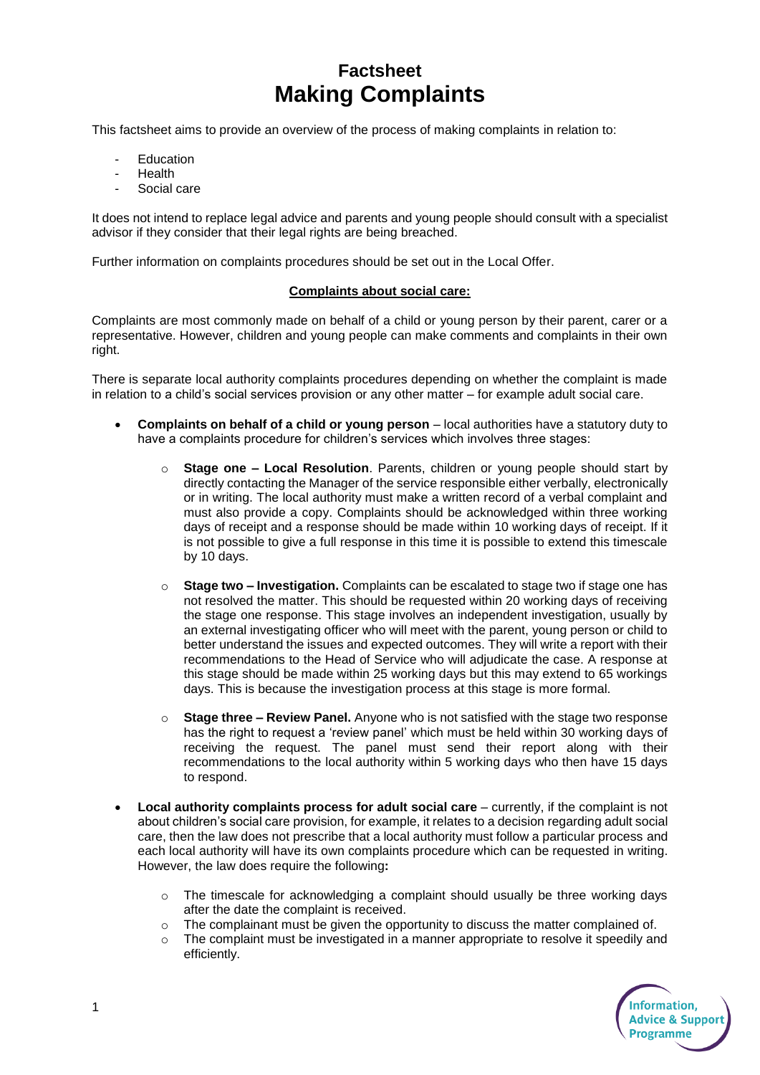# **Factsheet Making Complaints**

This factsheet aims to provide an overview of the process of making complaints in relation to:

- **Education**
- **Health**
- Social care

It does not intend to replace legal advice and parents and young people should consult with a specialist advisor if they consider that their legal rights are being breached.

Further information on complaints procedures should be set out in the Local Offer.

### **Complaints about social care:**

Complaints are most commonly made on behalf of a child or young person by their parent, carer or a representative. However, children and young people can make comments and complaints in their own right.

There is separate local authority complaints procedures depending on whether the complaint is made in relation to a child's social services provision or any other matter – for example adult social care.

- **Complaints on behalf of a child or young person** local authorities have a statutory duty to have a complaints procedure for children's services which involves three stages:
	- o **Stage one – Local Resolution**. Parents, children or young people should start by directly contacting the Manager of the service responsible either verbally, electronically or in writing. The local authority must make a written record of a verbal complaint and must also provide a copy. Complaints should be acknowledged within three working days of receipt and a response should be made within 10 working days of receipt. If it is not possible to give a full response in this time it is possible to extend this timescale by 10 days.
	- o **Stage two – Investigation.** Complaints can be escalated to stage two if stage one has not resolved the matter. This should be requested within 20 working days of receiving the stage one response. This stage involves an independent investigation, usually by an external investigating officer who will meet with the parent, young person or child to better understand the issues and expected outcomes. They will write a report with their recommendations to the Head of Service who will adjudicate the case. A response at this stage should be made within 25 working days but this may extend to 65 workings days. This is because the investigation process at this stage is more formal.
	- o **Stage three – Review Panel.** Anyone who is not satisfied with the stage two response has the right to request a 'review panel' which must be held within 30 working days of receiving the request. The panel must send their report along with their recommendations to the local authority within 5 working days who then have 15 days to respond.
- **Local authority complaints process for adult social care** currently, if the complaint is not about children's social care provision, for example, it relates to a decision regarding adult social care, then the law does not prescribe that a local authority must follow a particular process and each local authority will have its own complaints procedure which can be requested in writing. However, the law does require the following**:**
	- $\circ$  The timescale for acknowledging a complaint should usually be three working days after the date the complaint is received.
	- $\circ$  The complainant must be given the opportunity to discuss the matter complained of.
	- $\circ$  The complaint must be investigated in a manner appropriate to resolve it speedily and efficiently.

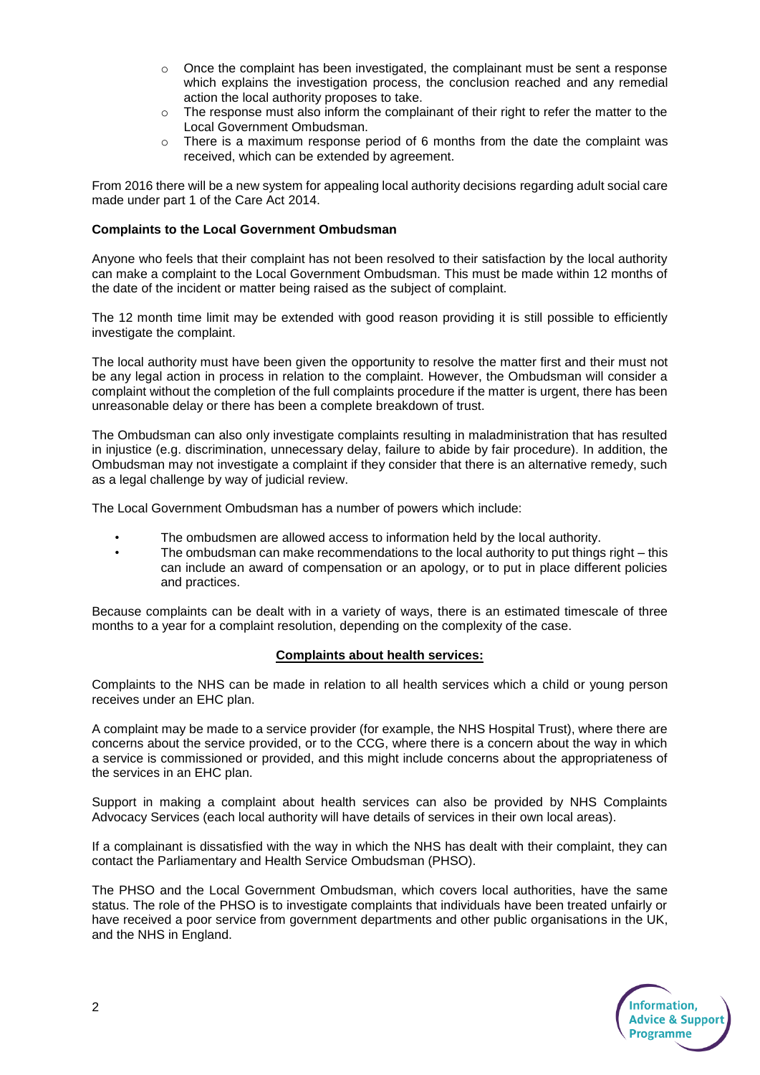- $\circ$  Once the complaint has been investigated, the complainant must be sent a response which explains the investigation process, the conclusion reached and any remedial action the local authority proposes to take.
- $\circ$  The response must also inform the complainant of their right to refer the matter to the Local Government Ombudsman.
- There is a maximum response period of 6 months from the date the complaint was received, which can be extended by agreement.

From 2016 there will be a new system for appealing local authority decisions regarding adult social care made under part 1 of the Care Act 2014.

## **Complaints to the Local Government Ombudsman**

Anyone who feels that their complaint has not been resolved to their satisfaction by the local authority can make a complaint to the Local Government Ombudsman. This must be made within 12 months of the date of the incident or matter being raised as the subject of complaint.

The 12 month time limit may be extended with good reason providing it is still possible to efficiently investigate the complaint.

The local authority must have been given the opportunity to resolve the matter first and their must not be any legal action in process in relation to the complaint. However, the Ombudsman will consider a complaint without the completion of the full complaints procedure if the matter is urgent, there has been unreasonable delay or there has been a complete breakdown of trust.

The Ombudsman can also only investigate complaints resulting in maladministration that has resulted in injustice (e.g. discrimination, unnecessary delay, failure to abide by fair procedure). In addition, the Ombudsman may not investigate a complaint if they consider that there is an alternative remedy, such as a legal challenge by way of judicial review.

The Local Government Ombudsman has a number of powers which include:

- The ombudsmen are allowed access to information held by the local authority.
- The ombudsman can make recommendations to the local authority to put things right this can include an award of compensation or an apology, or to put in place different policies and practices.

Because complaints can be dealt with in a variety of ways, there is an estimated timescale of three months to a year for a complaint resolution, depending on the complexity of the case.

### **Complaints about health services:**

Complaints to the NHS can be made in relation to all health services which a child or young person receives under an EHC plan.

A complaint may be made to a service provider (for example, the NHS Hospital Trust), where there are concerns about the service provided, or to the CCG, where there is a concern about the way in which a service is commissioned or provided, and this might include concerns about the appropriateness of the services in an EHC plan.

Support in making a complaint about health services can also be provided by NHS Complaints Advocacy Services (each local authority will have details of services in their own local areas).

If a complainant is dissatisfied with the way in which the NHS has dealt with their complaint, they can contact the Parliamentary and Health Service Ombudsman (PHSO).

The PHSO and the Local Government Ombudsman, which covers local authorities, have the same status. The role of the PHSO is to investigate complaints that individuals have been treated unfairly or have received a poor service from government departments and other public organisations in the UK, and the NHS in England.